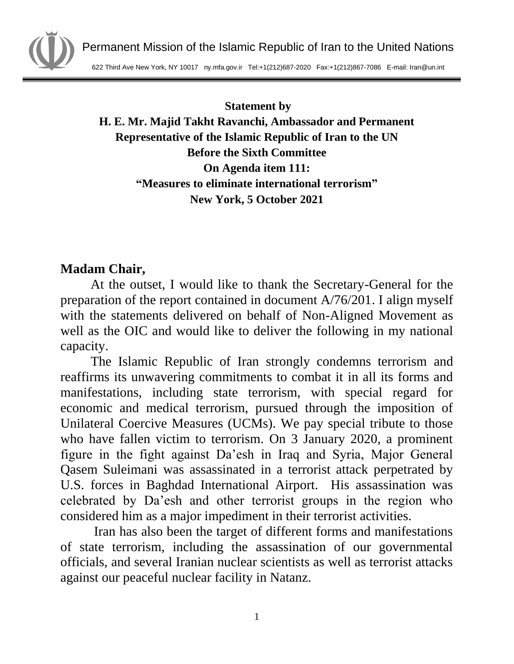

**Statement by**

## **H. E. Mr. Majid Takht Ravanchi, Ambassador and Permanent Representative of the Islamic Republic of Iran to the UN Before the Sixth Committee On Agenda item 111: "Measures to eliminate international terrorism" New York, 5 October 2021**

## **Madam Chair,**

At the outset, I would like to thank the Secretary-General for the preparation of the report contained in document A/76/201. I align myself with the statements delivered on behalf of Non-Aligned Movement as well as the OIC and would like to deliver the following in my national capacity.

The Islamic Republic of Iran strongly condemns terrorism and reaffirms its unwavering commitments to combat it in all its forms and manifestations, including state terrorism, with special regard for economic and medical terrorism, pursued through the imposition of Unilateral Coercive Measures (UCMs). We pay special tribute to those who have fallen victim to terrorism. On 3 January 2020, a prominent figure in the fight against Da'esh in Iraq and Syria, Major General Qasem Suleimani was assassinated in a terrorist attack perpetrated by U.S. forces in Baghdad International Airport. His assassination was celebrated by Da'esh and other terrorist groups in the region who considered him as a major impediment in their terrorist activities.

Iran has also been the target of different forms and manifestations of state terrorism, including the assassination of our governmental officials, and several Iranian nuclear scientists as well as terrorist attacks against our peaceful nuclear facility in Natanz.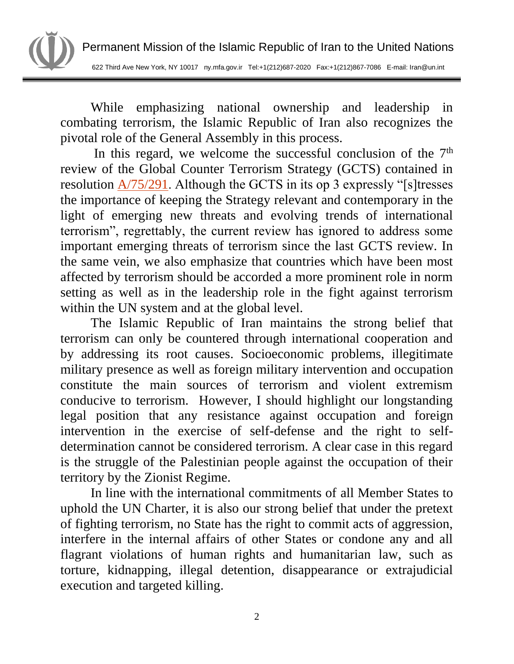

While emphasizing national ownership and leadership in combating terrorism, the Islamic Republic of Iran also recognizes the pivotal role of the General Assembly in this process.

In this regard, we welcome the successful conclusion of the  $7<sup>th</sup>$ review of the Global Counter Terrorism Strategy (GCTS) contained in resolution [A/75/291.](https://undocs.org/en/A/RES/75/291) Although the GCTS in its op 3 expressly "[s]tresses the importance of keeping the Strategy relevant and contemporary in the light of emerging new threats and evolving trends of international terrorism", regrettably, the current review has ignored to address some important emerging threats of terrorism since the last GCTS review. In the same vein, we also emphasize that countries which have been most affected by terrorism should be accorded a more prominent role in norm setting as well as in the leadership role in the fight against terrorism within the UN system and at the global level.

The Islamic Republic of Iran maintains the strong belief that terrorism can only be countered through international cooperation and by addressing its root causes. Socioeconomic problems, illegitimate military presence as well as foreign military intervention and occupation constitute the main sources of terrorism and violent extremism conducive to terrorism. However, I should highlight our longstanding legal position that any resistance against occupation and foreign intervention in the exercise of self-defense and the right to selfdetermination cannot be considered terrorism. A clear case in this regard is the struggle of the Palestinian people against the occupation of their territory by the Zionist Regime.

In line with the international commitments of all Member States to uphold the UN Charter, it is also our strong belief that under the pretext of fighting terrorism, no State has the right to commit acts of aggression, interfere in the internal affairs of other States or condone any and all flagrant violations of human rights and humanitarian law, such as torture, kidnapping, illegal detention, disappearance or extrajudicial execution and targeted killing.